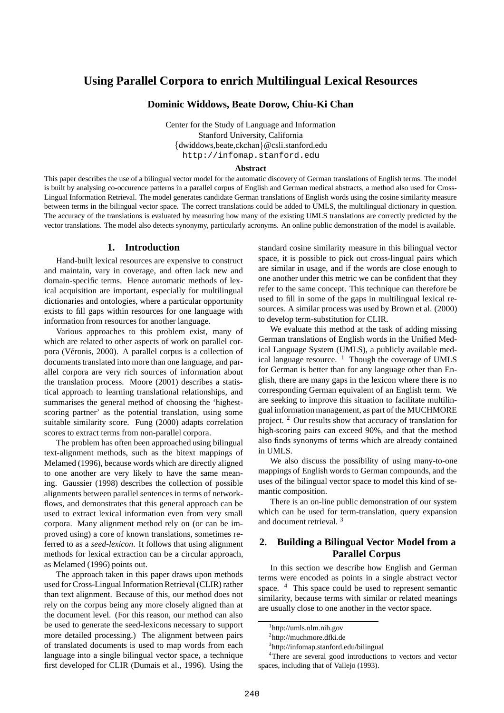# **Using Parallel Corpora to enrich Multilingual Lexical Resources**

## **Dominic Widdows, Beate Dorow, Chiu-Ki Chan**

Center for the Study of Language and Information Stanford University, California {dwiddows,beate,ckchan}@csli.stanford.edu http://infomap.stanford.edu

#### **Abstract**

This paper describes the use of a bilingual vector model for the automatic discovery of German translations of English terms. The model is built by analysing co-occurence patterns in a parallel corpus of English and German medical abstracts, a method also used for Cross-Lingual Information Retrieval. The model generates candidate German translations of English words using the cosine similarity measure between terms in the bilingual vector space. The correct translations could be added to UMLS, the multilingual dictionary in question. The accuracy of the translations is evaluated by measuring how many of the existing UMLS translations are correctly predicted by the vector translations. The model also detects synonymy, particularly acronyms. An online public demonstration of the model is available.

### **1. Introduction**

Hand-built lexical resources are expensive to construct and maintain, vary in coverage, and often lack new and domain-specific terms. Hence automatic methods of lexical acquisition are important, especially for multilingual dictionaries and ontologies, where a particular opportunity exists to fill gaps within resources for one language with information from resources for another language.

Various approaches to this problem exist, many of which are related to other aspects of work on parallel corpora (Véronis, 2000). A parallel corpus is a collection of documents translated into more than one language, and parallel corpora are very rich sources of information about the translation process. Moore (2001) describes a statistical approach to learning translational relationships, and summarises the general method of choosing the 'highestscoring partner' as the potential translation, using some suitable similarity score. Fung (2000) adapts correlation scores to extract terms from non-parallel corpora.

The problem has often been approached using bilingual text-alignment methods, such as the bitext mappings of Melamed (1996), because words which are directly aligned to one another are very likely to have the same meaning. Gaussier (1998) describes the collection of possible alignments between parallel sentences in terms of networkflows, and demonstrates that this general approach can be used to extract lexical information even from very small corpora. Many alignment method rely on (or can be improved using) a core of known translations, sometimes referred to as a *seed-lexicon*. It follows that using alignment methods for lexical extraction can be a circular approach, as Melamed (1996) points out.

The approach taken in this paper draws upon methods used for Cross-Lingual Information Retrieval (CLIR) rather than text alignment. Because of this, our method does not rely on the corpus being any more closely aligned than at the document level. (For this reason, our method can also be used to generate the seed-lexicons necessary to support more detailed processing.) The alignment between pairs of translated documents is used to map words from each language into a single bilingual vector space, a technique first developed for CLIR (Dumais et al., 1996). Using the

standard cosine similarity measure in this bilingual vector space, it is possible to pick out cross-lingual pairs which are similar in usage, and if the words are close enough to one another under this metric we can be confident that they refer to the same concept. This technique can therefore be used to fill in some of the gaps in multilingual lexical resources. A similar process was used by Brown et al. (2000) to develop term-substitution for CLIR.

We evaluate this method at the task of adding missing German translations of English words in the Unified Medical Language System (UMLS), a publicly available medical language resource.  $1$  Though the coverage of UMLS for German is better than for any language other than English, there are many gaps in the lexicon where there is no corresponding German equivalent of an English term. We are seeking to improve this situation to facilitate multilingual information management, as part of the MUCHMORE project. <sup>2</sup> Our results show that accuracy of translation for high-scoring pairs can exceed 90%, and that the method also finds synonyms of terms which are already contained in UMLS.

We also discuss the possibility of using many-to-one mappings of English words to German compounds, and the uses of the bilingual vector space to model this kind of semantic composition.

There is an on-line public demonstration of our system which can be used for term-translation, query expansion and document retrieval. <sup>3</sup>

# **2. Building a Bilingual Vector Model from a Parallel Corpus**

In this section we describe how English and German terms were encoded as points in a single abstract vector space. <sup>4</sup> This space could be used to represent semantic similarity, because terms with similar or related meanings are usually close to one another in the vector space.

<sup>1</sup> http://umls.nlm.nih.gov

<sup>&</sup>lt;sup>2</sup>http://muchmore.dfki.de

<sup>3</sup> http://infomap.stanford.edu/bilingual

<sup>4</sup>There are several good introductions to vectors and vector spaces, including that of Vallejo (1993).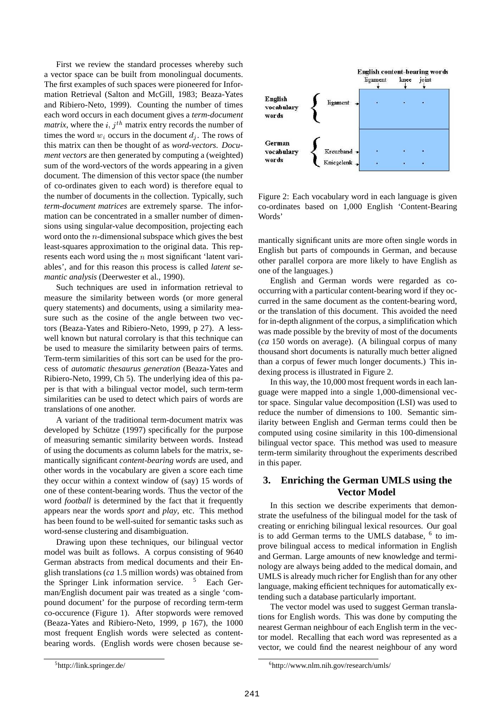First we review the standard processes whereby such a vector space can be built from monolingual documents. The first examples of such spaces were pioneered for Information Retrieval (Salton and McGill, 1983; Beaza-Yates and Ribiero-Neto, 1999). Counting the number of times each word occurs in each document gives a *term-document matrix*, where the  $i, j<sup>th</sup>$  matrix entry records the number of times the word  $w_i$  occurs in the document  $d_i$ . The rows of this matrix can then be thought of as *word-vectors*. *Document vectors* are then generated by computing a (weighted) sum of the word-vectors of the words appearing in a given document. The dimension of this vector space (the number of co-ordinates given to each word) is therefore equal to the number of documents in the collection. Typically, such *term-document matrices* are extremely sparse. The information can be concentrated in a smaller number of dimensions using singular-value decomposition, projecting each word onto the  $n$ -dimensional subspace which gives the best least-squares approximation to the original data. This represents each word using the  $n$  most significant 'latent variables', and for this reason this process is called *latent semantic analysis* (Deerwester et al., 1990).

Such techniques are used in information retrieval to measure the similarity between words (or more general query statements) and documents, using a similarity measure such as the cosine of the angle between two vectors (Beaza-Yates and Ribiero-Neto, 1999, p 27). A lesswell known but natural corrolary is that this technique can be used to measure the similarity between pairs of terms. Term-term similarities of this sort can be used for the process of *automatic thesaurus generation* (Beaza-Yates and Ribiero-Neto, 1999, Ch 5). The underlying idea of this paper is that with a bilingual vector model, such term-term similarities can be used to detect which pairs of words are translations of one another.

A variant of the traditional term-document matrix was developed by Schütze (1997) specifically for the purpose of measuring semantic similarity between words. Instead of using the documents as column labels for the matrix, semantically significant *content-bearing words* are used, and other words in the vocabulary are given a score each time they occur within a context window of (say) 15 words of one of these content-bearing words. Thus the vector of the word *football* is determined by the fact that it frequently appears near the words *sport* and *play*, etc. This method has been found to be well-suited for semantic tasks such as word-sense clustering and disambiguation.

Drawing upon these techniques, our bilingual vector model was built as follows. A corpus consisting of 9640 German abstracts from medical documents and their English translations (*ca* 1.5 million words) was obtained from the Springer Link information service. <sup>5</sup> Each German/English document pair was treated as a single 'compound document' for the purpose of recording term-term co-occurence (Figure 1). After stopwords were removed (Beaza-Yates and Ribiero-Neto, 1999, p 167), the 1000 most frequent English words were selected as contentbearing words. (English words were chosen because se-



Figure 2: Each vocabulary word in each language is given co-ordinates based on 1,000 English 'Content-Bearing Words'

mantically significant units are more often single words in English but parts of compounds in German, and because other parallel corpora are more likely to have English as one of the languages.)

English and German words were regarded as cooccurring with a particular content-bearing word if they occurred in the same document as the content-bearing word, or the translation of this document. This avoided the need for in-depth alignment of the corpus, a simplification which was made possible by the brevity of most of the documents (*ca* 150 words on average). (A bilingual corpus of many thousand short documents is naturally much better aligned than a corpus of fewer much longer documents.) This indexing process is illustrated in Figure 2.

In this way, the 10,000 most frequent words in each language were mapped into a single 1,000-dimensional vector space. Singular value decomposition (LSI) was used to reduce the number of dimensions to 100. Semantic similarity between English and German terms could then be computed using cosine similarity in this 100-dimensional bilingual vector space. This method was used to measure term-term similarity throughout the experiments described in this paper.

# **3. Enriching the German UMLS using the Vector Model**

In this section we describe experiments that demonstrate the usefulness of the bilingual model for the task of creating or enriching bilingual lexical resources. Our goal is to add German terms to the UMLS database,  $6$  to improve bilingual access to medical information in English and German. Large amounts of new knowledge and terminology are always being added to the medical domain, and UMLS is already much richer for English than for any other language, making efficient techniques for automatically extending such a database particularly important.

The vector model was used to suggest German translations for English words. This was done by computing the nearest German neighbour of each English term in the vector model. Recalling that each word was represented as a vector, we could find the nearest neighbour of any word

<sup>5</sup> http://link.springer.de/

<sup>6</sup> http://www.nlm.nih.gov/research/umls/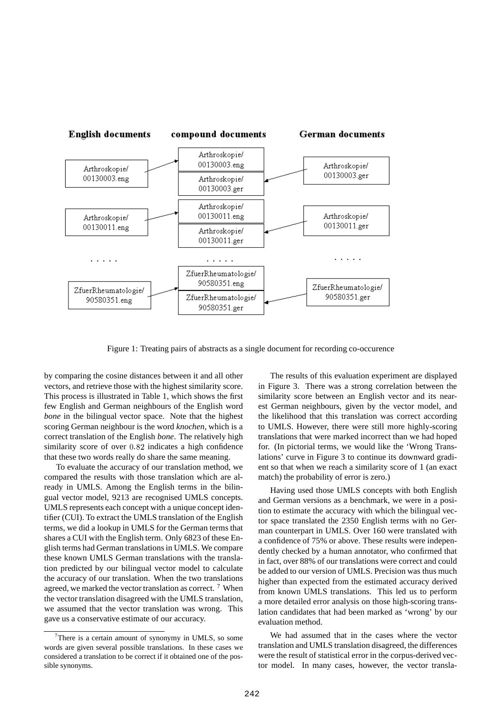

Figure 1: Treating pairs of abstracts as a single document for recording co-occurence

by comparing the cosine distances between it and all other vectors, and retrieve those with the highest similarity score. This process is illustrated in Table 1, which shows the first few English and German neighbours of the English word *bone* in the bilingual vector space. Note that the highest scoring German neighbour is the word *knochen*, which is a correct translation of the English *bone*. The relatively high similarity score of over 0.82 indicates a high confidence that these two words really do share the same meaning.

To evaluate the accuracy of our translation method, we compared the results with those translation which are already in UMLS. Among the English terms in the bilingual vector model, 9213 are recognised UMLS concepts. UMLS represents each concept with a unique concept identifier (CUI). To extract the UMLS translation of the English terms, we did a lookup in UMLS for the German terms that shares a CUI with the English term. Only 6823 of these English terms had German translationsin UMLS. We compare these known UMLS German translations with the translation predicted by our bilingual vector model to calculate the accuracy of our translation. When the two translations agreed, we marked the vector translation as correct.<sup>7</sup> When the vector translation disagreed with the UMLS translation, we assumed that the vector translation was wrong. This gave us a conservative estimate of our accuracy.

The results of this evaluation experiment are displayed in Figure 3. There was a strong correlation between the similarity score between an English vector and its nearest German neighbours, given by the vector model, and the likelihood that this translation was correct according to UMLS. However, there were still more highly-scoring translations that were marked incorrect than we had hoped for. (In pictorial terms, we would like the 'Wrong Translations' curve in Figure 3 to continue its downward gradient so that when we reach a similarity score of 1 (an exact match) the probability of error is zero.)

Having used those UMLS concepts with both English and German versions as a benchmark, we were in a position to estimate the accuracy with which the bilingual vector space translated the 2350 English terms with no German counterpart in UMLS. Over 160 were translated with a confidence of 75% or above. These results were independently checked by a human annotator, who confirmed that in fact, over 88% of our translations were correct and could be added to our version of UMLS. Precision was thus much higher than expected from the estimated accuracy derived from known UMLS translations. This led us to perform a more detailed error analysis on those high-scoring translation candidates that had been marked as 'wrong' by our evaluation method.

We had assumed that in the cases where the vector translation and UMLS translation disagreed, the differences were the result of statistical error in the corpus-derived vector model. In many cases, however, the vector transla-

 $7$ There is a certain amount of synonymy in UMLS, so some words are given several possible translations. In these cases we considered a translation to be correct if it obtained one of the possible synonyms.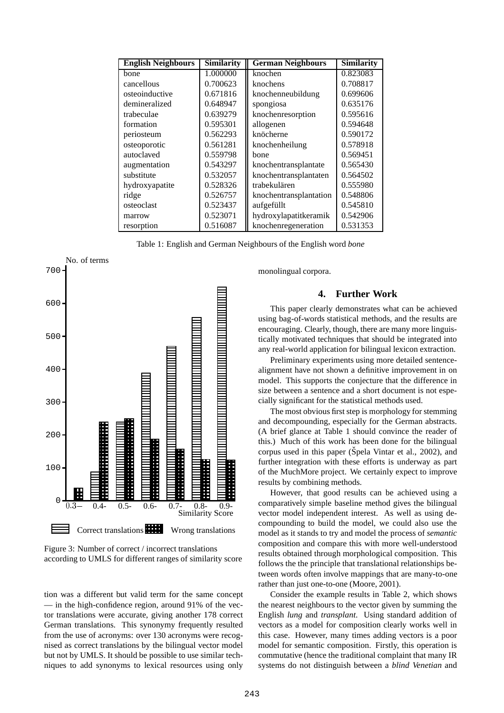| <b>English Neighbours</b> | <b>Similarity</b> | <b>German Neighbours</b> | <b>Similarity</b> |
|---------------------------|-------------------|--------------------------|-------------------|
| bone                      | 1.000000          | knochen                  | 0.823083          |
| cancellous                | 0.700623          | knochens                 | 0.708817          |
| osteoinductive            | 0.671816          | knochenneubildung        | 0.699606          |
| demineralized             | 0.648947          | spongiosa                | 0.635176          |
| trabeculae                | 0.639279          | knochenresorption        | 0.595616          |
| formation                 | 0.595301          | allogenen                | 0.594648          |
| periosteum                | 0.562293          | knöcherne                | 0.590172          |
| osteoporotic              | 0.561281          | knochenheilung           | 0.578918          |
| autoclaved                | 0.559798          | bone                     | 0.569451          |
| augmentation              | 0.543297          | knochentransplantate     | 0.565430          |
| substitute                | 0.532057          | knochentransplantaten    | 0.564502          |
| hydroxyapatite            | 0.528326          | trabekulären             | 0.555980          |
| ridge                     | 0.526757          | knochentransplantation   | 0.548806          |
| osteoclast                | 0.523437          | aufgefüllt               | 0.545810          |
| marrow                    | 0.523071          | hydroxylapatitkeramik    | 0.542906          |
| resorption                | 0.516087          | knochenregeneration      | 0.531353          |

Table 1: English and German Neighbours of the English word *bone*



Figure 3: Number of correct / incorrect translations according to UMLS for different ranges of similarity score

tion was a different but valid term for the same concept — in the high-confidence region, around 91% of the vector translations were accurate, giving another 178 correct German translations. This synonymy frequently resulted from the use of acronyms: over 130 acronyms were recognised as correct translations by the bilingual vector model but not by UMLS. It should be possible to use similar techniques to add synonyms to lexical resources using only monolingual corpora.

# **4. Further Work**

This paper clearly demonstrates what can be achieved using bag-of-words statistical methods, and the results are encouraging. Clearly, though, there are many more linguistically motivated techniques that should be integrated into any real-world application for bilingual lexicon extraction.

Preliminary experiments using more detailed sentencealignment have not shown a definitive improvement in on model. This supports the conjecture that the difference in size between a sentence and a short document is not especially significant for the statistical methods used.

The most obvious first step is morphology for stemming and decompounding, especially for the German abstracts. (A brief glance at Table 1 should convince the reader of this.) Much of this work has been done for the bilingual corpus used in this paper (Špela Vintar et al., 2002), and further integration with these efforts is underway as part of the MuchMore project. We certainly expect to improve results by combining methods.

However, that good results can be achieved using a comparatively simple baseline method gives the bilingual vector model independent interest. As well as using decompounding to build the model, we could also use the model as it stands to try and model the process of *semantic* composition and compare this with more well-understood results obtained through morphological composition. This follows the the principle that translational relationships between words often involve mappings that are many-to-one rather than just one-to-one (Moore, 2001).

Consider the example results in Table 2, which shows the nearest neighbours to the vector given by summing the English *lung* and *transplant*. Using standard addition of vectors as a model for composition clearly works well in this case. However, many times adding vectors is a poor model for semantic composition. Firstly, this operation is commutative (hence the traditional complaint that many IR systems do not distinguish between a *blind Venetian* and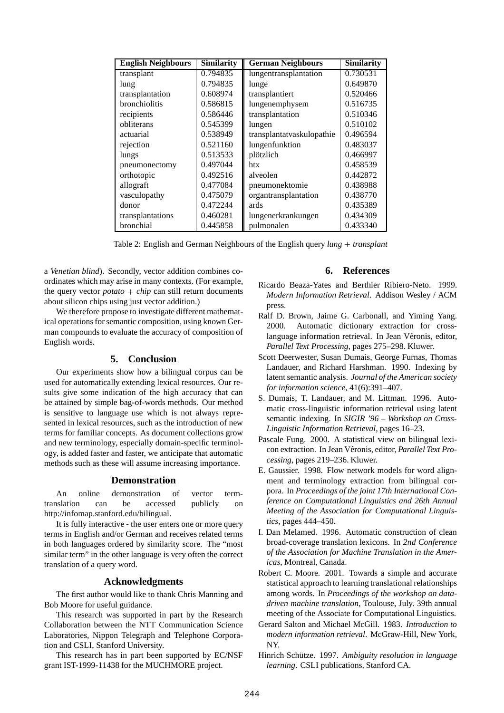| <b>English Neighbours</b> | <b>Similarity</b> | <b>German Neighbours</b>  | <b>Similarity</b> |
|---------------------------|-------------------|---------------------------|-------------------|
| transplant                | 0.794835          | lungentransplantation     | 0.730531          |
| lung                      | 0.794835          | lunge                     | 0.649870          |
| transplantation           | 0.608974          | transplantiert            | 0.520466          |
| <b>bronchiolitis</b>      | 0.586815          | lungenemphysem            | 0.516735          |
| recipients                | 0.586446          | transplantation           | 0.510346          |
| obliterans                | 0.545399          | lungen                    | 0.510102          |
| actuarial                 | 0.538949          | transplantatvaskulopathie | 0.496594          |
| rejection                 | 0.521160          | lungenfunktion            | 0.483037          |
| lungs                     | 0.513533          | plötzlich                 | 0.466997          |
| pneumonectomy             | 0.497044          | htx                       | 0.458539          |
| orthotopic                | 0.492516          | alveolen                  | 0.442872          |
| allograft                 | 0.477084          | pneumonektomie            | 0.438988          |
| vasculopathy              | 0.475079          | organtransplantation      | 0.438770          |
| donor                     | 0.472244          | ards                      | 0.435389          |
| transplantations          | 0.460281          | lungenerkrankungen        | 0.434309          |
| bronchial                 | 0.445858          | pulmonalen                | 0.433340          |

Table 2: English and German Neighbours of the English query *lung transplant*

a *Venetian blind*). Secondly, vector addition combines coordinates which may arise in many contexts. (For example, the query vector  $potato + chip$  can still return documents about silicon chips using just vector addition.)

We therefore propose to investigate different mathematical operations for semantic composition, using known German compounds to evaluate the accuracy of composition of English words.

## **5. Conclusion**

Our experiments show how a bilingual corpus can be used for automatically extending lexical resources. Our results give some indication of the high accuracy that can be attained by simple bag-of-words methods. Our method is sensitive to language use which is not always represented in lexical resources, such as the introduction of new terms for familiar concepts. As document collections grow and new terminology, especially domain-specific terminology, is added faster and faster, we anticipate that automatic methods such as these will assume increasing importance.

### **Demonstration**

An online demonstration of vector termtranslation can be accessed publicly on http://infomap.stanford.edu/bilingual.

It is fully interactive - the user enters one or more query terms in English and/or German and receives related terms in both languages ordered by similarity score. The "most similar term" in the other language is very often the correct translation of a query word.

## **Acknowledgments**

The first author would like to thank Chris Manning and Bob Moore for useful guidance.

This research was supported in part by the Research Collaboration between the NTT Communication Science Laboratories, Nippon Telegraph and Telephone Corporation and CSLI, Stanford University.

This research has in part been supported by EC/NSF grant IST-1999-11438 for the MUCHMORE project.

## **6. References**

- Ricardo Beaza-Yates and Berthier Ribiero-Neto. 1999. *Modern Information Retrieval*. Addison Wesley / ACM press.
- Ralf D. Brown, Jaime G. Carbonall, and Yiming Yang. 2000. Automatic dictionary extraction for crosslanguage information retrieval. In Jean Véronis, editor, *Parallel Text Processing*, pages 275–298. Kluwer.
- Scott Deerwester, Susan Dumais, George Furnas, Thomas Landauer, and Richard Harshman. 1990. Indexing by latent semantic analysis. *Journal of the American society for information science*, 41(6):391–407.
- S. Dumais, T. Landauer, and M. Littman. 1996. Automatic cross-linguistic information retrieval using latent semantic indexing. In *SIGIR '96 – Workshop on Cross-Linguistic Information Retrieval*, pages 16–23.
- Pascale Fung. 2000. A statistical view on bilingual lexicon extraction. In Jean Véronis, editor, *Parallel Text Processing*, pages 219–236. Kluwer.
- E. Gaussier. 1998. Flow network models for word alignment and terminology extraction from bilingual corpora. In *Proceedings of the joint 17th International Conference on Computational Linguistics and 26th Annual Meeting of the Association for Computational Linguistics*, pages 444–450.
- I. Dan Melamed. 1996. Automatic construction of clean broad-coverage translation lexicons. In *2nd Conference of the Association for Machine Translation in the Americas*, Montreal, Canada.
- Robert C. Moore. 2001. Towards a simple and accurate statistical approach to learning translational relationships among words. In *Proceedings of the workshop on datadriven machine translation*, Toulouse, July. 39th annual meeting of the Associate for Computational Linguistics.
- Gerard Salton and Michael McGill. 1983. *Introduction to modern information retrieval*. McGraw-Hill, New York, NY.
- Hinrich Schutze. ¨ 1997. *Ambiguity resolution in language learning*. CSLI publications, Stanford CA.